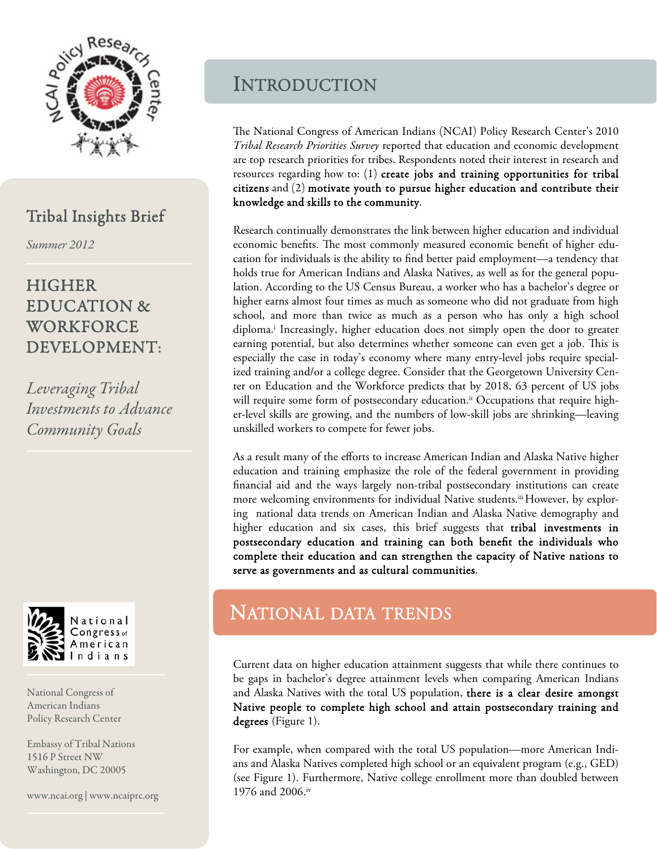

### Tribal Insights Brief

Summer 2012

## **HIGHER** EDUCATION & WORKFORCE DEVELOPMENT:

Leveraging Tribal Investments to Advance Community Goals



National Congress of American Indians Policy Research Center

Embassy of Tribal Nations 1516 P Street NW Washington, DC 20005

www.ncai.org | www.ncaiprc.org

## INTRODUCTION

The National Congress of American Indians (NCAI) Policy Research Center's 2010 Tribal Research Priorities Survey reported that education and economic development are top research priorities for tribes. Respondents noted their interest in research and resources regarding how to: (1) create jobs and training opportunities for tribal citizens and (2) motivate youth to pursue higher education and contribute their knowledge and skills to the community.

Research continually demonstrates the link between higher education and individual economic benefits. The most commonly measured economic benefit of higher education for individuals is the ability to find better paid employment—a tendency that holds true for American Indians and Alaska Natives, as well as for the general population. According to the US Census Bureau, a worker who has a bachelor's degree or higher earns almost four times as much as someone who did not graduate from high school, and more than twice as much as a person who has only a high school diploma.i Increasingly, higher education does not simply open the door to greater earning potential, but also determines whether someone can even get a job. This is especially the case in today's economy where many entry-level jobs require specialized training and/or a college degree. Consider that the Georgetown University Center on Education and the Workforce predicts that by 2018, 63 percent of US jobs will require some form of postsecondary education.<sup>ii</sup> Occupations that require higher-level skills are growing, and the numbers of low-skill jobs are shrinking—leaving unskilled workers to compete for fewer jobs.

As a result many of the efforts to increase American Indian and Alaska Native higher education and training emphasize the role of the federal government in providing financial aid and the ways largely non-tribal postsecondary institutions can create more welcoming environments for individual Native students.<sup>iii</sup> However, by exploring national data trends on American Indian and Alaska Native demography and higher education and six cases, this brief suggests that **tribal investments in** postsecondary education and training can both benefit the individuals who complete their education and can strengthen the capacity of Native nations to serve as governments and as cultural communities.

## NATIONAL DATA TRENDS

Current data on higher education attainment suggests that while there continues to be gaps in bachelor's degree attainment levels when comparing American Indians and Alaska Natives with the total US population, there is a clear desire amongst Native people to complete high school and attain postsecondary training and degrees (Figure 1).

For example, when compared with the total US population—more American Indians and Alaska Natives completed high school or an equivalent program (e.g., GED) (see Figure 1). Furthermore, Native college enrollment more than doubled between 1976 and 2006.iv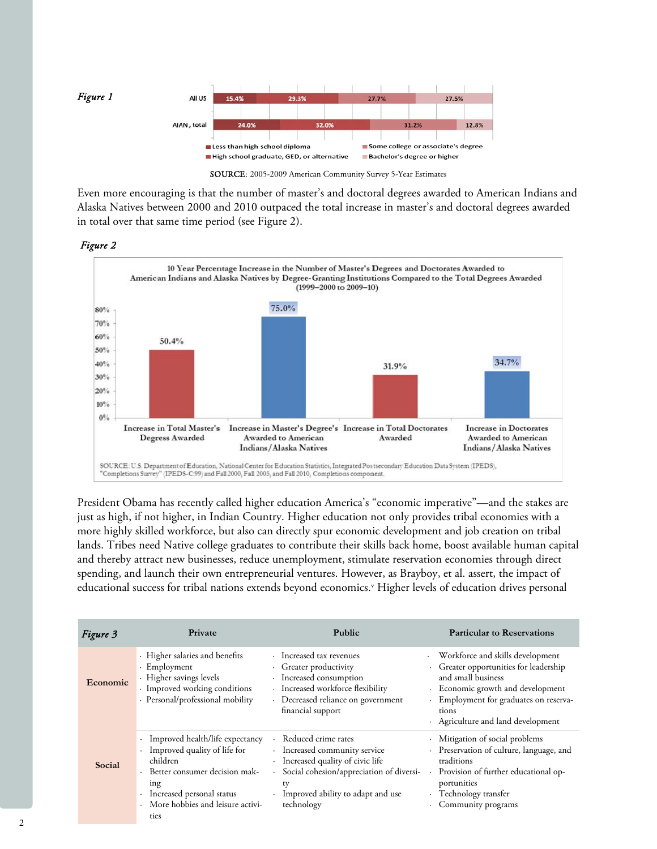

SOURCE: 2005-2009 American Community Survey 5-Year Estimates

Even more encouraging is that the number of master's and doctoral degrees awarded to American Indians and Alaska Natives between 2000 and 2010 outpaced the total increase in master's and doctoral degrees awarded in total over that same time period (see Figure 2).





President Obama has recently called higher education America's "economic imperative"—and the stakes are just as high, if not higher, in Indian Country. Higher education not only provides tribal economies with a more highly skilled workforce, but also can directly spur economic development and job creation on tribal lands. Tribes need Native college graduates to contribute their skills back home, boost available human capital and thereby attract new businesses, reduce unemployment, stimulate reservation economies through direct spending, and launch their own entrepreneurial ventures. However, as Brayboy, et al. assert, the impact of educational success for tribal nations extends beyond economics.<sup>v</sup> Higher levels of education drives personal

| Figure 3        | Private                                                                                                                                                                                                                                        | <b>Public</b>                                                                                                                                                                                                                  | <b>Particular to Reservations</b>                                                                                                                                                                                            |
|-----------------|------------------------------------------------------------------------------------------------------------------------------------------------------------------------------------------------------------------------------------------------|--------------------------------------------------------------------------------------------------------------------------------------------------------------------------------------------------------------------------------|------------------------------------------------------------------------------------------------------------------------------------------------------------------------------------------------------------------------------|
| <b>Economic</b> | · Higher salaries and benefits<br>· Employment<br>· Higher savings levels<br>· Improved working conditions<br>· Personal/professional mobility                                                                                                 | · Increased tax revenues<br>· Greater productivity<br>· Increased consumption<br>· Increased workforce flexibility<br>· Decreased reliance on government<br>financial support                                                  | Workforce and skills development<br>· Greater opportunities for leadership<br>and small business<br>· Economic growth and development<br>· Employment for graduates on reserva-<br>tions<br>Agriculture and land development |
| Social          | Improved health/life expectancy<br>$\bullet$<br>Improved quality of life for<br>$\bullet$<br>children<br>Better consumer decision mak-<br>ing<br>Increased personal status<br>$\ddot{\phantom{0}}$<br>More hobbies and leisure activi-<br>ties | · Reduced crime rates<br>· Increased community service<br>· Increased quality of civic life<br>Social cohesion/appreciation of diversi-<br>÷.<br>ty<br>Improved ability to adapt and use<br>$\ddot{\phantom{0}}$<br>technology | · Mitigation of social problems<br>· Preservation of culture, language, and<br>traditions<br>Provision of further educational op-<br>portunities<br>· Technology transfer<br>· Community programs                            |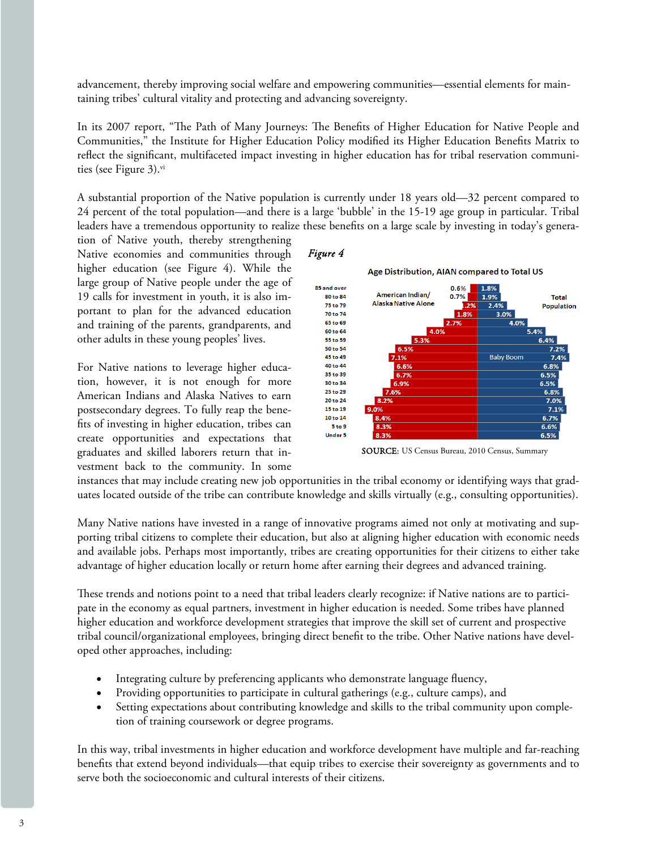advancement, thereby improving social welfare and empowering communities—essential elements for maintaining tribes' cultural vitality and protecting and advancing sovereignty.

In its 2007 report, "The Path of Many Journeys: The Benefits of Higher Education for Native People and Communities," the Institute for Higher Education Policy modified its Higher Education Benefits Matrix to reflect the significant, multifaceted impact investing in higher education has for tribal reservation communities (see Figure 3).<sup>vi</sup>

A substantial proportion of the Native population is currently under 18 years old—32 percent compared to 24 percent of the total population—and there is a large 'bubble' in the 15-19 age group in particular. Tribal leaders have a tremendous opportunity to realize these benefits on a large scale by investing in today's genera-

tion of Native youth, thereby strengthening Native economies and communities through higher education (see Figure 4). While the large group of Native people under the age of 19 calls for investment in youth, it is also important to plan for the advanced education and training of the parents, grandparents, and other adults in these young peoples' lives.

For Native nations to leverage higher education, however, it is not enough for more American Indians and Alaska Natives to earn postsecondary degrees. To fully reap the benefits of investing in higher education, tribes can create opportunities and expectations that graduates and skilled laborers return that investment back to the community. In some



SOURCE: US Census Bureau, 2010 Census, Summary

instances that may include creating new job opportunities in the tribal economy or identifying ways that graduates located outside of the tribe can contribute knowledge and skills virtually (e.g., consulting opportunities).

Many Native nations have invested in a range of innovative programs aimed not only at motivating and supporting tribal citizens to complete their education, but also at aligning higher education with economic needs and available jobs. Perhaps most importantly, tribes are creating opportunities for their citizens to either take advantage of higher education locally or return home after earning their degrees and advanced training.

These trends and notions point to a need that tribal leaders clearly recognize: if Native nations are to participate in the economy as equal partners, investment in higher education is needed. Some tribes have planned higher education and workforce development strategies that improve the skill set of current and prospective tribal council/organizational employees, bringing direct benefit to the tribe. Other Native nations have developed other approaches, including:

- Integrating culture by preferencing applicants who demonstrate language fluency,
- Providing opportunities to participate in cultural gatherings (e.g., culture camps), and
- Setting expectations about contributing knowledge and skills to the tribal community upon completion of training coursework or degree programs.

In this way, tribal investments in higher education and workforce development have multiple and far-reaching benefits that extend beyond individuals—that equip tribes to exercise their sovereignty as governments and to serve both the socioeconomic and cultural interests of their citizens.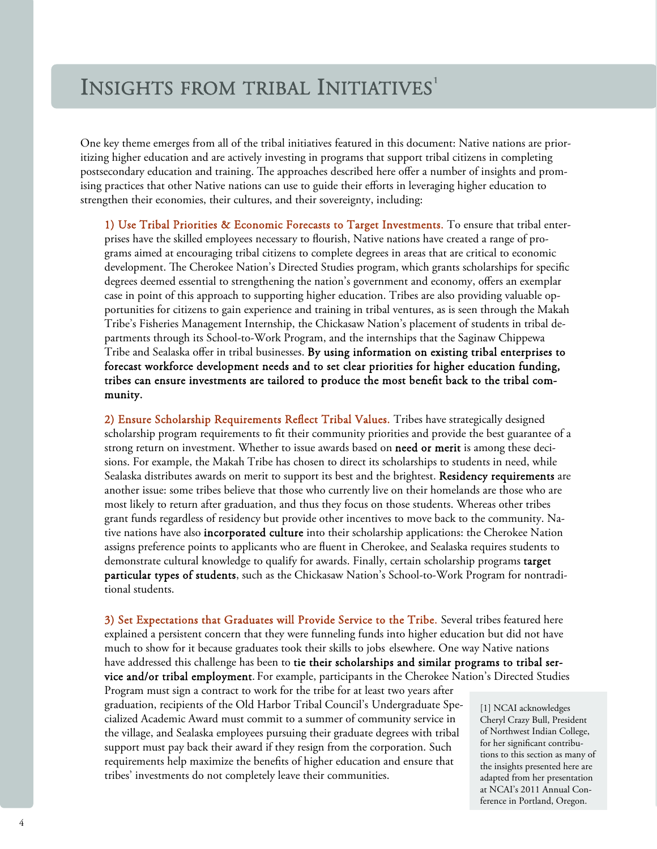## INSIGHTS FROM TRIBAL INITIATIVES<sup>1</sup>

One key theme emerges from all of the tribal initiatives featured in this document: Native nations are prioritizing higher education and are actively investing in programs that support tribal citizens in completing postsecondary education and training. The approaches described here offer a number of insights and promising practices that other Native nations can use to guide their efforts in leveraging higher education to strengthen their economies, their cultures, and their sovereignty, including:

1) Use Tribal Priorities & Economic Forecasts to Target Investments. To ensure that tribal enterprises have the skilled employees necessary to flourish, Native nations have created a range of programs aimed at encouraging tribal citizens to complete degrees in areas that are critical to economic development. The Cherokee Nation's Directed Studies program, which grants scholarships for specific degrees deemed essential to strengthening the nation's government and economy, offers an exemplar case in point of this approach to supporting higher education. Tribes are also providing valuable opportunities for citizens to gain experience and training in tribal ventures, as is seen through the Makah Tribe's Fisheries Management Internship, the Chickasaw Nation's placement of students in tribal departments through its School-to-Work Program, and the internships that the Saginaw Chippewa Tribe and Sealaska offer in tribal businesses. By using information on existing tribal enterprises to forecast workforce development needs and to set clear priorities for higher education funding, tribes can ensure investments are tailored to produce the most benefit back to the tribal community.

2) Ensure Scholarship Requirements Reflect Tribal Values. Tribes have strategically designed scholarship program requirements to fit their community priorities and provide the best guarantee of a strong return on investment. Whether to issue awards based on need or merit is among these decisions. For example, the Makah Tribe has chosen to direct its scholarships to students in need, while Sealaska distributes awards on merit to support its best and the brightest. Residency requirements are another issue: some tribes believe that those who currently live on their homelands are those who are most likely to return after graduation, and thus they focus on those students. Whereas other tribes grant funds regardless of residency but provide other incentives to move back to the community. Native nations have also **incorporated culture** into their scholarship applications: the Cherokee Nation assigns preference points to applicants who are fluent in Cherokee, and Sealaska requires students to demonstrate cultural knowledge to qualify for awards. Finally, certain scholarship programs target particular types of students, such as the Chickasaw Nation's School-to-Work Program for nontraditional students.

3) Set Expectations that Graduates will Provide Service to the Tribe. Several tribes featured here explained a persistent concern that they were funneling funds into higher education but did not have much to show for it because graduates took their skills to jobs elsewhere. One way Native nations have addressed this challenge has been to tie their scholarships and similar programs to tribal service and/or tribal employment. For example, participants in the Cherokee Nation's Directed Studies

Program must sign a contract to work for the tribe for at least two years after graduation, recipients of the Old Harbor Tribal Council's Undergraduate Specialized Academic Award must commit to a summer of community service in the village, and Sealaska employees pursuing their graduate degrees with tribal support must pay back their award if they resign from the corporation. Such requirements help maximize the benefits of higher education and ensure that tribes' investments do not completely leave their communities.

[1] NCAI acknowledges Cheryl Crazy Bull, President of Northwest Indian College, for her significant contributions to this section as many of the insights presented here are adapted from her presentation at NCAI's 2011 Annual Conference in Portland, Oregon.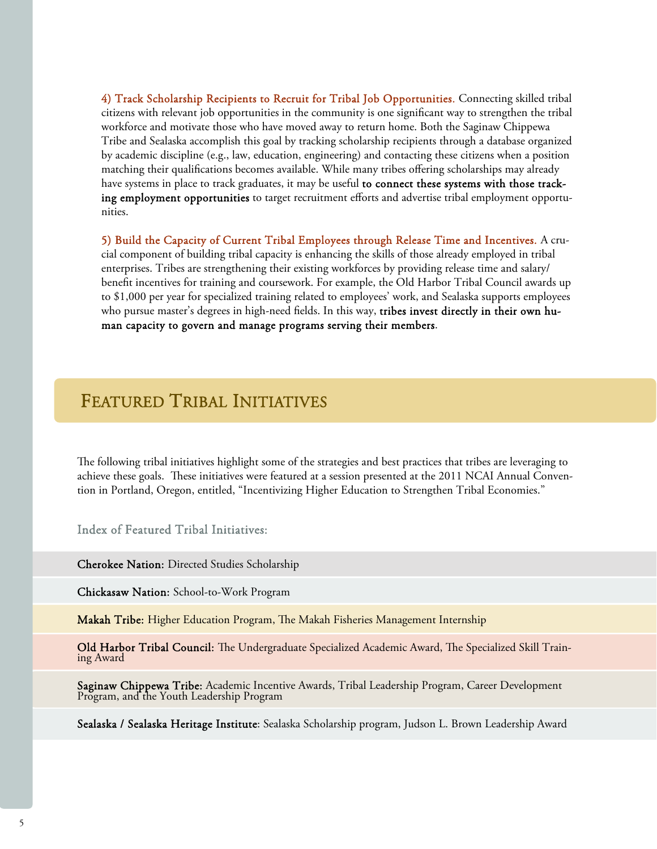4) Track Scholarship Recipients to Recruit for Tribal Job Opportunities. Connecting skilled tribal citizens with relevant job opportunities in the community is one significant way to strengthen the tribal workforce and motivate those who have moved away to return home. Both the Saginaw Chippewa Tribe and Sealaska accomplish this goal by tracking scholarship recipients through a database organized by academic discipline (e.g., law, education, engineering) and contacting these citizens when a position matching their qualifications becomes available. While many tribes offering scholarships may already have systems in place to track graduates, it may be useful to connect these systems with those tracking employment opportunities to target recruitment efforts and advertise tribal employment opportunities.

5) Build the Capacity of Current Tribal Employees through Release Time and Incentives. A crucial component of building tribal capacity is enhancing the skills of those already employed in tribal enterprises. Tribes are strengthening their existing workforces by providing release time and salary/ benefit incentives for training and coursework. For example, the Old Harbor Tribal Council awards up to \$1,000 per year for specialized training related to employees' work, and Sealaska supports employees who pursue master's degrees in high-need fields. In this way, tribes invest directly in their own human capacity to govern and manage programs serving their members.

## FEATURED TRIBAL INITIATIVES

The following tribal initiatives highlight some of the strategies and best practices that tribes are leveraging to achieve these goals. These initiatives were featured at a session presented at the 2011 NCAI Annual Convention in Portland, Oregon, entitled, "Incentivizing Higher Education to Strengthen Tribal Economies."

Index of Featured Tribal Initiatives:

Cherokee Nation: Directed Studies Scholarship

Chickasaw Nation: School-to-Work Program

Makah Tribe: Higher Education Program, The Makah Fisheries Management Internship

Old Harbor Tribal Council: The Undergraduate Specialized Academic Award, The Specialized Skill Train- ing Award

Saginaw Chippewa Tribe: Academic Incentive Awards, Tribal Leadership Program, Career Development Program, and the Youth Leadership Program

Sealaska / Sealaska Heritage Institute: Sealaska Scholarship program, Judson L. Brown Leadership Award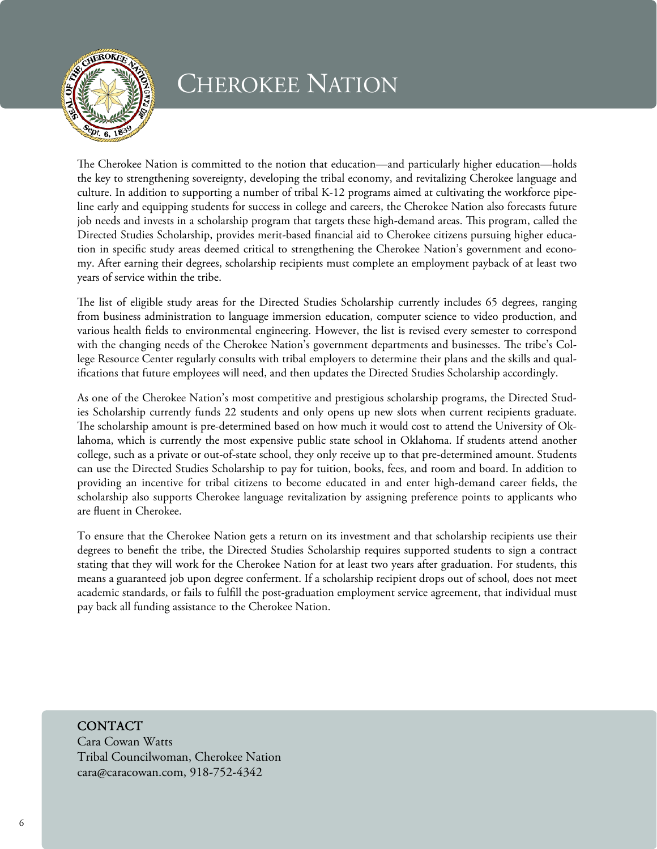

# CHEROKEE NATION

The Cherokee Nation is committed to the notion that education—and particularly higher education—holds the key to strengthening sovereignty, developing the tribal economy, and revitalizing Cherokee language and culture. In addition to supporting a number of tribal K-12 programs aimed at cultivating the workforce pipeline early and equipping students for success in college and careers, the Cherokee Nation also forecasts future job needs and invests in a scholarship program that targets these high-demand areas. This program, called the Directed Studies Scholarship, provides merit-based financial aid to Cherokee citizens pursuing higher education in specific study areas deemed critical to strengthening the Cherokee Nation's government and economy. After earning their degrees, scholarship recipients must complete an employment payback of at least two years of service within the tribe.

The list of eligible study areas for the Directed Studies Scholarship currently includes 65 degrees, ranging from business administration to language immersion education, computer science to video production, and various health fields to environmental engineering. However, the list is revised every semester to correspond with the changing needs of the Cherokee Nation's government departments and businesses. The tribe's College Resource Center regularly consults with tribal employers to determine their plans and the skills and qualifications that future employees will need, and then updates the Directed Studies Scholarship accordingly.

As one of the Cherokee Nation's most competitive and prestigious scholarship programs, the Directed Studies Scholarship currently funds 22 students and only opens up new slots when current recipients graduate. The scholarship amount is pre-determined based on how much it would cost to attend the University of Oklahoma, which is currently the most expensive public state school in Oklahoma. If students attend another college, such as a private or out-of-state school, they only receive up to that pre-determined amount. Students can use the Directed Studies Scholarship to pay for tuition, books, fees, and room and board. In addition to providing an incentive for tribal citizens to become educated in and enter high-demand career fields, the scholarship also supports Cherokee language revitalization by assigning preference points to applicants who are fluent in Cherokee.

To ensure that the Cherokee Nation gets a return on its investment and that scholarship recipients use their degrees to benefit the tribe, the Directed Studies Scholarship requires supported students to sign a contract stating that they will work for the Cherokee Nation for at least two years after graduation. For students, this means a guaranteed job upon degree conferment. If a scholarship recipient drops out of school, does not meet academic standards, or fails to fulfill the post-graduation employment service agreement, that individual must pay back all funding assistance to the Cherokee Nation.

### CONTACT

Cara Cowan Watts Tribal Councilwoman, Cherokee Nation cara@caracowan.com, 918-752-4342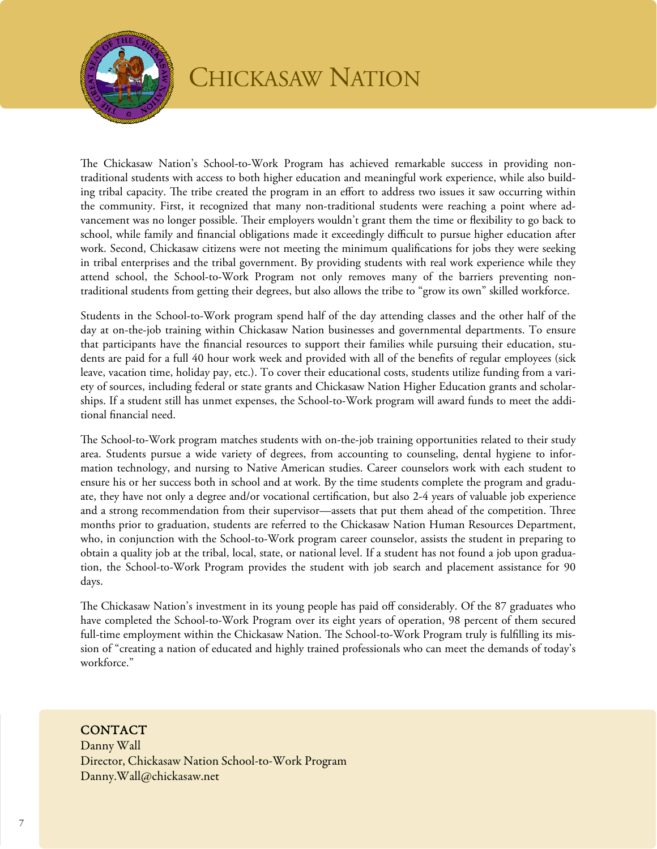

The Chickasaw Nation's School-to-Work Program has achieved remarkable success in providing nontraditional students with access to both higher education and meaningful work experience, while also building tribal capacity. The tribe created the program in an effort to address two issues it saw occurring within the community. First, it recognized that many non-traditional students were reaching a point where advancement was no longer possible. Their employers wouldn't grant them the time or flexibility to go back to school, while family and financial obligations made it exceedingly difficult to pursue higher education after work. Second, Chickasaw citizens were not meeting the minimum qualifications for jobs they were seeking in tribal enterprises and the tribal government. By providing students with real work experience while they attend school, the School-to-Work Program not only removes many of the barriers preventing nontraditional students from getting their degrees, but also allows the tribe to "grow its own" skilled workforce.

Students in the School-to-Work program spend half of the day attending classes and the other half of the day at on-the-job training within Chickasaw Nation businesses and governmental departments. To ensure that participants have the financial resources to support their families while pursuing their education, students are paid for a full 40 hour work week and provided with all of the benefits of regular employees (sick leave, vacation time, holiday pay, etc.). To cover their educational costs, students utilize funding from a variety of sources, including federal or state grants and Chickasaw Nation Higher Education grants and scholarships. If a student still has unmet expenses, the School-to-Work program will award funds to meet the additional financial need.

The School-to-Work program matches students with on-the-job training opportunities related to their study area. Students pursue a wide variety of degrees, from accounting to counseling, dental hygiene to information technology, and nursing to Native American studies. Career counselors work with each student to ensure his or her success both in school and at work. By the time students complete the program and graduate, they have not only a degree and/or vocational certification, but also 2-4 years of valuable job experience and a strong recommendation from their supervisor—assets that put them ahead of the competition. Three months prior to graduation, students are referred to the Chickasaw Nation Human Resources Department, who, in conjunction with the School-to-Work program career counselor, assists the student in preparing to obtain a quality job at the tribal, local, state, or national level. If a student has not found a job upon graduation, the School-to-Work Program provides the student with job search and placement assistance for 90 days.

The Chickasaw Nation's investment in its young people has paid off considerably. Of the 87 graduates who have completed the School-to-Work Program over its eight years of operation, 98 percent of them secured full-time employment within the Chickasaw Nation. The School-to-Work Program truly is fulfilling its mission of "creating a nation of educated and highly trained professionals who can meet the demands of today's workforce."

### **CONTACT**

Danny Wall Director, Chickasaw Nation School-to-Work Program Danny.Wall@chickasaw.net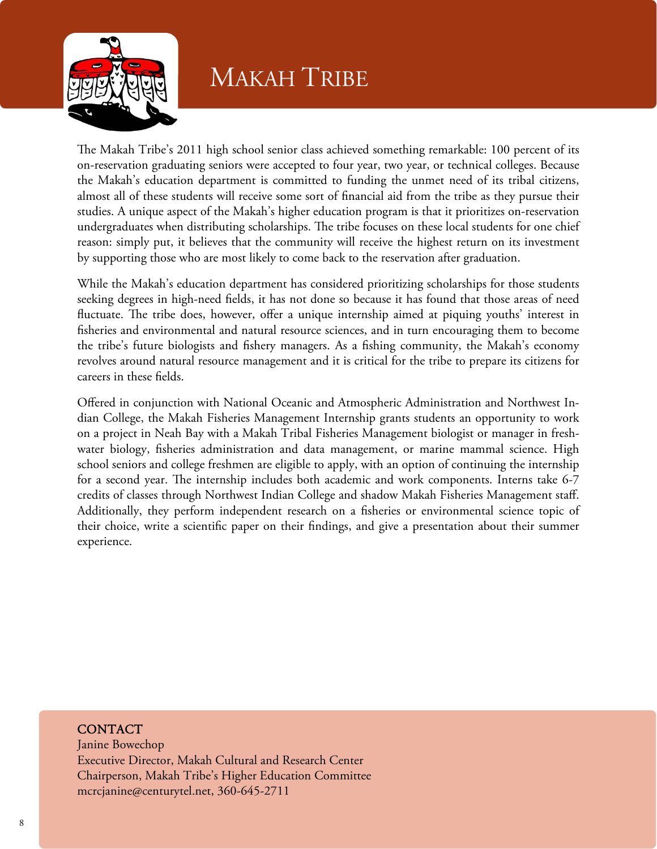

# MAKAH TRIBE

The Makah Tribe's 2011 high school senior class achieved something remarkable: 100 percent of its on-reservation graduating seniors were accepted to four year, two year, or technical colleges. Because the Makah's education department is committed to funding the unmet need of its tribal citizens, almost all of these students will receive some sort of financial aid from the tribe as they pursue their studies. A unique aspect of the Makah's higher education program is that it prioritizes on-reservation undergraduates when distributing scholarships. The tribe focuses on these local students for one chief reason: simply put, it believes that the community will receive the highest return on its investment by supporting those who are most likely to come back to the reservation after graduation.

While the Makah's education department has considered prioritizing scholarships for those students seeking degrees in high-need fields, it has not done so because it has found that those areas of need fluctuate. The tribe does, however, offer a unique internship aimed at piquing youths' interest in fisheries and environmental and natural resource sciences, and in turn encouraging them to become the tribe's future biologists and fishery managers. As a fishing community, the Makah's economy revolves around natural resource management and it is critical for the tribe to prepare its citizens for careers in these fields.

Offered in conjunction with National Oceanic and Atmospheric Administration and Northwest Indian College, the Makah Fisheries Management Internship grants students an opportunity to work on a project in Neah Bay with a Makah Tribal Fisheries Management biologist or manager in freshwater biology, fisheries administration and data management, or marine mammal science. High school seniors and college freshmen are eligible to apply, with an option of continuing the internship for a second year. The internship includes both academic and work components. Interns take 6-7 credits of classes through Northwest Indian College and shadow Makah Fisheries Management staff. Additionally, they perform independent research on a fisheries or environmental science topic of their choice, write a scientific paper on their findings, and give a presentation about their summer experience.

#### Ī **CONTACT**

Janine Bowechop Executive Director, Makah Cultural and Research Center Chairperson, Makah Tribe's Higher Education Committee mcrcjanine@centurytel.net, 360-645-2711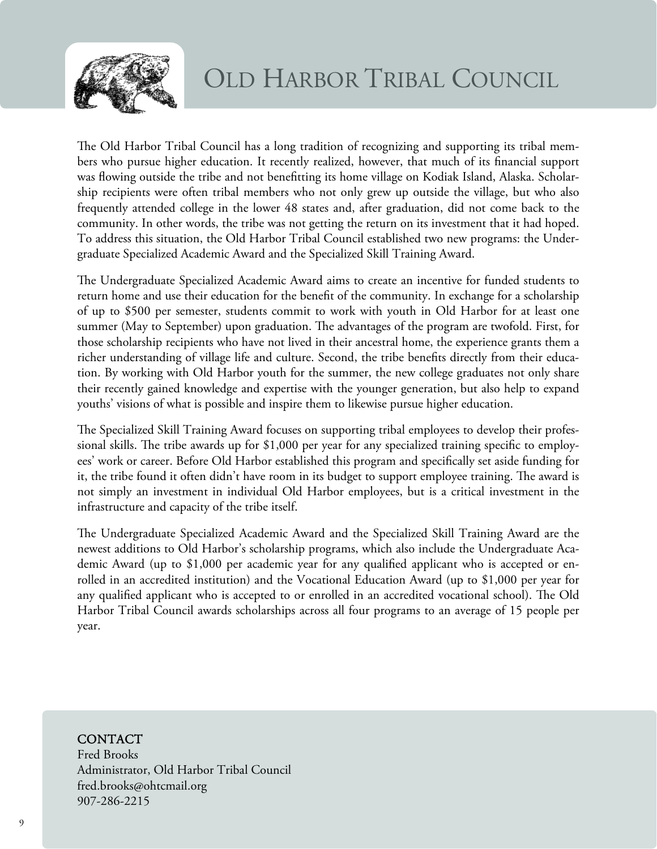

The Old Harbor Tribal Council has a long tradition of recognizing and supporting its tribal members who pursue higher education. It recently realized, however, that much of its financial support was flowing outside the tribe and not benefitting its home village on Kodiak Island, Alaska. Scholarship recipients were often tribal members who not only grew up outside the village, but who also frequently attended college in the lower 48 states and, after graduation, did not come back to the community. In other words, the tribe was not getting the return on its investment that it had hoped. To address this situation, the Old Harbor Tribal Council established two new programs: the Undergraduate Specialized Academic Award and the Specialized Skill Training Award.

The Undergraduate Specialized Academic Award aims to create an incentive for funded students to return home and use their education for the benefit of the community. In exchange for a scholarship of up to \$500 per semester, students commit to work with youth in Old Harbor for at least one summer (May to September) upon graduation. The advantages of the program are twofold. First, for those scholarship recipients who have not lived in their ancestral home, the experience grants them a richer understanding of village life and culture. Second, the tribe benefits directly from their education. By working with Old Harbor youth for the summer, the new college graduates not only share their recently gained knowledge and expertise with the younger generation, but also help to expand youths' visions of what is possible and inspire them to likewise pursue higher education.

The Specialized Skill Training Award focuses on supporting tribal employees to develop their professional skills. The tribe awards up for \$1,000 per year for any specialized training specific to employees' work or career. Before Old Harbor established this program and specifically set aside funding for it, the tribe found it often didn't have room in its budget to support employee training. The award is not simply an investment in individual Old Harbor employees, but is a critical investment in the infrastructure and capacity of the tribe itself.

The Undergraduate Specialized Academic Award and the Specialized Skill Training Award are the newest additions to Old Harbor's scholarship programs, which also include the Undergraduate Academic Award (up to \$1,000 per academic year for any qualified applicant who is accepted or enrolled in an accredited institution) and the Vocational Education Award (up to \$1,000 per year for any qualified applicant who is accepted to or enrolled in an accredited vocational school). The Old Harbor Tribal Council awards scholarships across all four programs to an average of 15 people per year.

### CONTACT

Fred Brooks Administrator, Old Harbor Tribal Council fred.brooks@ohtcmail.org 907-286-2215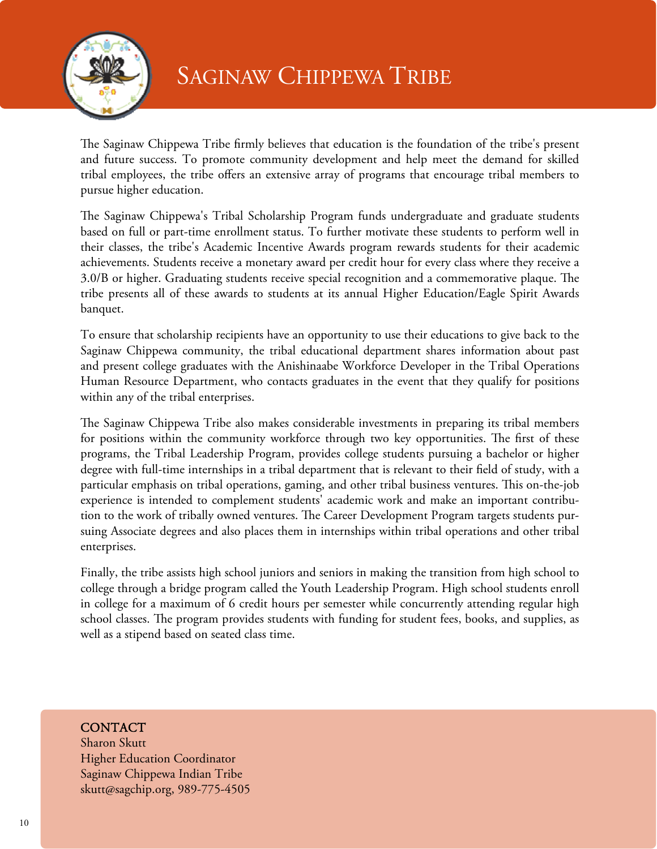

The Saginaw Chippewa Tribe firmly believes that education is the foundation of the tribe's present and future success. To promote community development and help meet the demand for skilled tribal employees, the tribe offers an extensive array of programs that encourage tribal members to pursue higher education.

The Saginaw Chippewa's Tribal Scholarship Program funds undergraduate and graduate students based on full or part-time enrollment status. To further motivate these students to perform well in their classes, the tribe's Academic Incentive Awards program rewards students for their academic achievements. Students receive a monetary award per credit hour for every class where they receive a 3.0/B or higher. Graduating students receive special recognition and a commemorative plaque. The tribe presents all of these awards to students at its annual Higher Education/Eagle Spirit Awards banquet.

To ensure that scholarship recipients have an opportunity to use their educations to give back to the Saginaw Chippewa community, the tribal educational department shares information about past and present college graduates with the Anishinaabe Workforce Developer in the Tribal Operations Human Resource Department, who contacts graduates in the event that they qualify for positions within any of the tribal enterprises.

The Saginaw Chippewa Tribe also makes considerable investments in preparing its tribal members for positions within the community workforce through two key opportunities. The first of these programs, the Tribal Leadership Program, provides college students pursuing a bachelor or higher degree with full-time internships in a tribal department that is relevant to their field of study, with a particular emphasis on tribal operations, gaming, and other tribal business ventures. This on-the-job experience is intended to complement students' academic work and make an important contribution to the work of tribally owned ventures. The Career Development Program targets students pursuing Associate degrees and also places them in internships within tribal operations and other tribal enterprises.

Finally, the tribe assists high school juniors and seniors in making the transition from high school to college through a bridge program called the Youth Leadership Program. High school students enroll in college for a maximum of 6 credit hours per semester while concurrently attending regular high school classes. The program provides students with funding for student fees, books, and supplies, as well as a stipend based on seated class time.

### **CONTACT**

Sharon Skutt Higher Education Coordinator Saginaw Chippewa Indian Tribe skutt@sagchip.org, 989-775-4505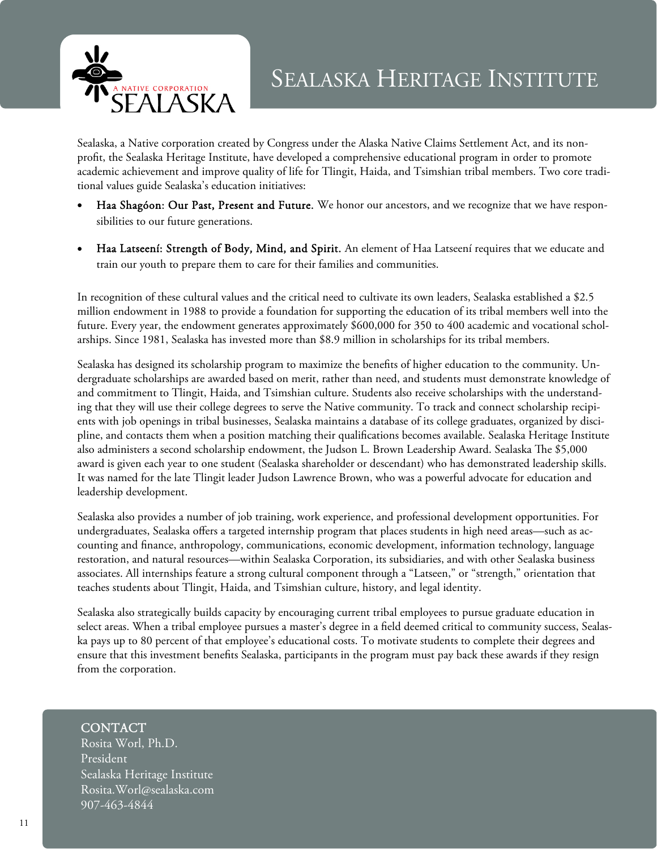

Sealaska, a Native corporation created by Congress under the Alaska Native Claims Settlement Act, and its nonprofit, the Sealaska Heritage Institute, have developed a comprehensive educational program in order to promote academic achievement and improve quality of life for Tlingit, Haida, and Tsimshian tribal members. Two core traditional values guide Sealaska's education initiatives:

- Haa Shagóon: Our Past, Present and Future. We honor our ancestors, and we recognize that we have responsibilities to our future generations.
- Haa Latseení: Strength of Body, Mind, and Spirit. An element of Haa Latseení requires that we educate and train our youth to prepare them to care for their families and communities.

In recognition of these cultural values and the critical need to cultivate its own leaders, Sealaska established a \$2.5 million endowment in 1988 to provide a foundation for supporting the education of its tribal members well into the future. Every year, the endowment generates approximately \$600,000 for 350 to 400 academic and vocational scholarships. Since 1981, Sealaska has invested more than \$8.9 million in scholarships for its tribal members.

Sealaska has designed its scholarship program to maximize the benefits of higher education to the community. Undergraduate scholarships are awarded based on merit, rather than need, and students must demonstrate knowledge of and commitment to Tlingit, Haida, and Tsimshian culture. Students also receive scholarships with the understanding that they will use their college degrees to serve the Native community. To track and connect scholarship recipients with job openings in tribal businesses, Sealaska maintains a database of its college graduates, organized by discipline, and contacts them when a position matching their qualifications becomes available. Sealaska Heritage Institute also administers a second scholarship endowment, the Judson L. Brown Leadership Award. Sealaska The \$5,000 award is given each year to one student (Sealaska shareholder or descendant) who has demonstrated leadership skills. It was named for the late Tlingit leader Judson Lawrence Brown, who was a powerful advocate for education and leadership development.

Sealaska also provides a number of job training, work experience, and professional development opportunities. For undergraduates, Sealaska offers a targeted internship program that places students in high need areas—such as accounting and finance, anthropology, communications, economic development, information technology, language restoration, and natural resources—within Sealaska Corporation, its subsidiaries, and with other Sealaska business associates. All internships feature a strong cultural component through a "Latseen," or "strength," orientation that teaches students about Tlingit, Haida, and Tsimshian culture, history, and legal identity.

Sealaska also strategically builds capacity by encouraging current tribal employees to pursue graduate education in select areas. When a tribal employee pursues a master's degree in a field deemed critical to community success, Sealaska pays up to 80 percent of that employee's educational costs. To motivate students to complete their degrees and ensure that this investment benefits Sealaska, participants in the program must pay back these awards if they resign from the corporation.

### CONTACT

Rosita Worl, Ph.D. President Sealaska Heritage Institute Rosita.Worl@sealaska.com 907-463-4844